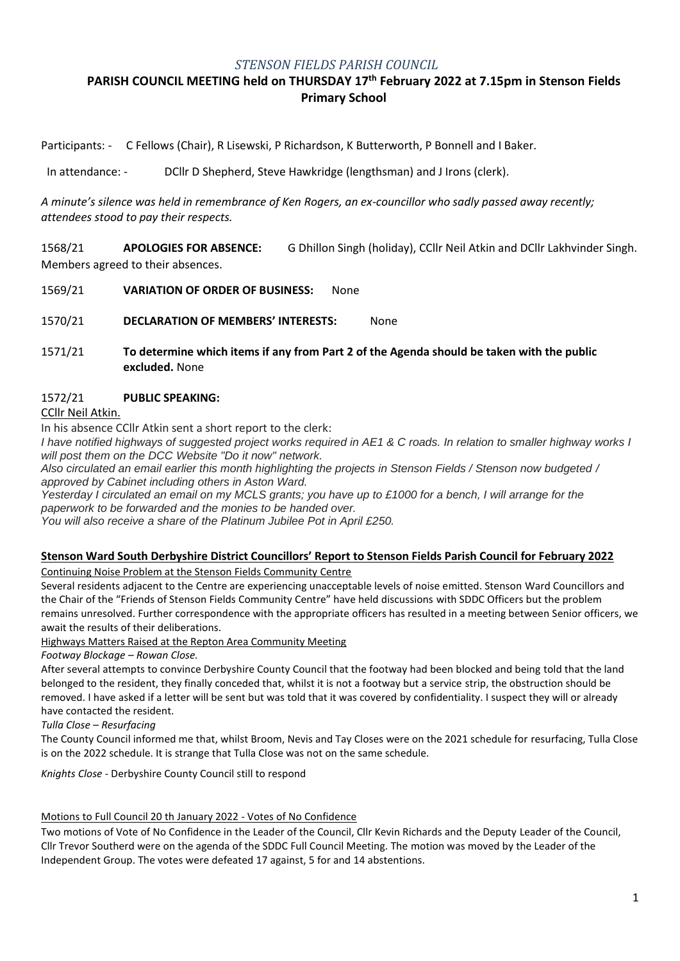### *STENSON FIELDS PARISH COUNCIL*

# **PARISH COUNCIL MEETING held on THURSDAY 17th February 2022 at 7.15pm in Stenson Fields Primary School**

Participants: - C Fellows (Chair), R Lisewski, P Richardson, K Butterworth, P Bonnell and I Baker.

In attendance: - DCllr D Shepherd, Steve Hawkridge (lengthsman) and J Irons (clerk).

*A minute's silence was held in remembrance of Ken Rogers, an ex-councillor who sadly passed away recently; attendees stood to pay their respects.* 

1568/21 **APOLOGIES FOR ABSENCE:** G Dhillon Singh (holiday), CCllr Neil Atkin and DCllr Lakhvinder Singh. Members agreed to their absences.

1569/21 **VARIATION OF ORDER OF BUSINESS:** None

1570/21 **DECLARATION OF MEMBERS' INTERESTS:** None

1571/21 **To determine which items if any from Part 2 of the Agenda should be taken with the public excluded.** None

### 1572/21 **PUBLIC SPEAKING:**

CCllr Neil Atkin.

In his absence CCllr Atkin sent a short report to the clerk:

*I have notified highways of suggested project works required in AE1 & C roads. In relation to smaller highway works I will post them on the DCC Website "Do it now" network.*

*Also circulated an email earlier this month highlighting the projects in Stenson Fields / Stenson now budgeted / approved by Cabinet including others in Aston Ward.*

*Yesterday I circulated an email on my MCLS grants; you have up to £1000 for a bench, I will arrange for the paperwork to be forwarded and the monies to be handed over.*

*You will also receive a share of the Platinum Jubilee Pot in April £250.*

#### **Stenson Ward South Derbyshire District Councillors' Report to Stenson Fields Parish Council for February 2022**

Continuing Noise Problem at the Stenson Fields Community Centre

Several residents adjacent to the Centre are experiencing unacceptable levels of noise emitted. Stenson Ward Councillors and the Chair of the "Friends of Stenson Fields Community Centre" have held discussions with SDDC Officers but the problem remains unresolved. Further correspondence with the appropriate officers has resulted in a meeting between Senior officers, we await the results of their deliberations.

Highways Matters Raised at the Repton Area Community Meeting

*Footway Blockage – Rowan Close.*

After several attempts to convince Derbyshire County Council that the footway had been blocked and being told that the land belonged to the resident, they finally conceded that, whilst it is not a footway but a service strip, the obstruction should be removed. I have asked if a letter will be sent but was told that it was covered by confidentiality. I suspect they will or already have contacted the resident.

*Tulla Close – Resurfacing*

The County Council informed me that, whilst Broom, Nevis and Tay Closes were on the 2021 schedule for resurfacing, Tulla Close is on the 2022 schedule. It is strange that Tulla Close was not on the same schedule.

*Knights Close* - Derbyshire County Council still to respond

#### Motions to Full Council 20 th January 2022 - Votes of No Confidence

Two motions of Vote of No Confidence in the Leader of the Council, Cllr Kevin Richards and the Deputy Leader of the Council, Cllr Trevor Southerd were on the agenda of the SDDC Full Council Meeting. The motion was moved by the Leader of the Independent Group. The votes were defeated 17 against, 5 for and 14 abstentions.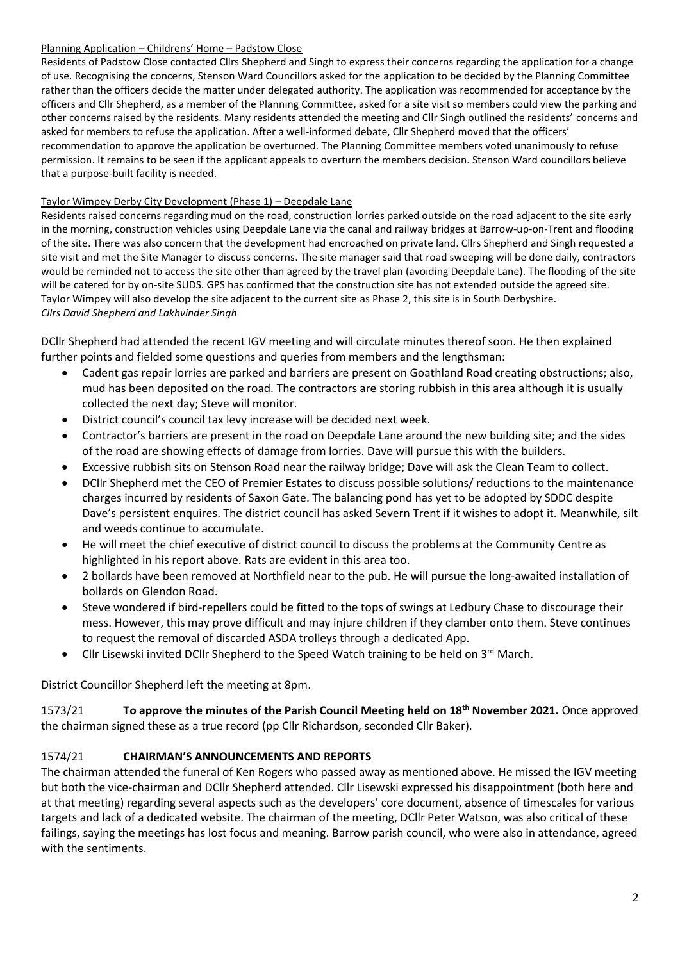#### Planning Application – Childrens' Home – Padstow Close

Residents of Padstow Close contacted Cllrs Shepherd and Singh to express their concerns regarding the application for a change of use. Recognising the concerns, Stenson Ward Councillors asked for the application to be decided by the Planning Committee rather than the officers decide the matter under delegated authority. The application was recommended for acceptance by the officers and Cllr Shepherd, as a member of the Planning Committee, asked for a site visit so members could view the parking and other concerns raised by the residents. Many residents attended the meeting and Cllr Singh outlined the residents' concerns and asked for members to refuse the application. After a well-informed debate, Cllr Shepherd moved that the officers' recommendation to approve the application be overturned. The Planning Committee members voted unanimously to refuse permission. It remains to be seen if the applicant appeals to overturn the members decision. Stenson Ward councillors believe that a purpose-built facility is needed.

### Taylor Wimpey Derby City Development (Phase 1) – Deepdale Lane

Residents raised concerns regarding mud on the road, construction lorries parked outside on the road adjacent to the site early in the morning, construction vehicles using Deepdale Lane via the canal and railway bridges at Barrow-up-on-Trent and flooding of the site. There was also concern that the development had encroached on private land. Cllrs Shepherd and Singh requested a site visit and met the Site Manager to discuss concerns. The site manager said that road sweeping will be done daily, contractors would be reminded not to access the site other than agreed by the travel plan (avoiding Deepdale Lane). The flooding of the site will be catered for by on-site SUDS. GPS has confirmed that the construction site has not extended outside the agreed site. Taylor Wimpey will also develop the site adjacent to the current site as Phase 2, this site is in South Derbyshire. *Cllrs David Shepherd and Lakhvinder Singh*

DCllr Shepherd had attended the recent IGV meeting and will circulate minutes thereof soon. He then explained further points and fielded some questions and queries from members and the lengthsman:

- Cadent gas repair lorries are parked and barriers are present on Goathland Road creating obstructions; also, mud has been deposited on the road. The contractors are storing rubbish in this area although it is usually collected the next day; Steve will monitor.
- District council's council tax levy increase will be decided next week.
- Contractor's barriers are present in the road on Deepdale Lane around the new building site; and the sides of the road are showing effects of damage from lorries. Dave will pursue this with the builders.
- Excessive rubbish sits on Stenson Road near the railway bridge; Dave will ask the Clean Team to collect.
- DCllr Shepherd met the CEO of Premier Estates to discuss possible solutions/ reductions to the maintenance charges incurred by residents of Saxon Gate. The balancing pond has yet to be adopted by SDDC despite Dave's persistent enquires. The district council has asked Severn Trent if it wishes to adopt it. Meanwhile, silt and weeds continue to accumulate.
- He will meet the chief executive of district council to discuss the problems at the Community Centre as highlighted in his report above. Rats are evident in this area too.
- 2 bollards have been removed at Northfield near to the pub. He will pursue the long-awaited installation of bollards on Glendon Road.
- Steve wondered if bird-repellers could be fitted to the tops of swings at Ledbury Chase to discourage their mess. However, this may prove difficult and may injure children if they clamber onto them. Steve continues to request the removal of discarded ASDA trolleys through a dedicated App.
- Cllr Lisewski invited DCllr Shepherd to the Speed Watch training to be held on  $3<sup>rd</sup>$  March.

District Councillor Shepherd left the meeting at 8pm.

1573/21 **To approve the minutes of the Parish Council Meeting held on 18th November 2021.** Once approved the chairman signed these as a true record (pp Cllr Richardson, seconded Cllr Baker).

# 1574/21 **CHAIRMAN'S ANNOUNCEMENTS AND REPORTS**

The chairman attended the funeral of Ken Rogers who passed away as mentioned above. He missed the IGV meeting but both the vice-chairman and DCllr Shepherd attended. Cllr Lisewski expressed his disappointment (both here and at that meeting) regarding several aspects such as the developers' core document, absence of timescales for various targets and lack of a dedicated website. The chairman of the meeting, DCllr Peter Watson, was also critical of these failings, saying the meetings has lost focus and meaning. Barrow parish council, who were also in attendance, agreed with the sentiments.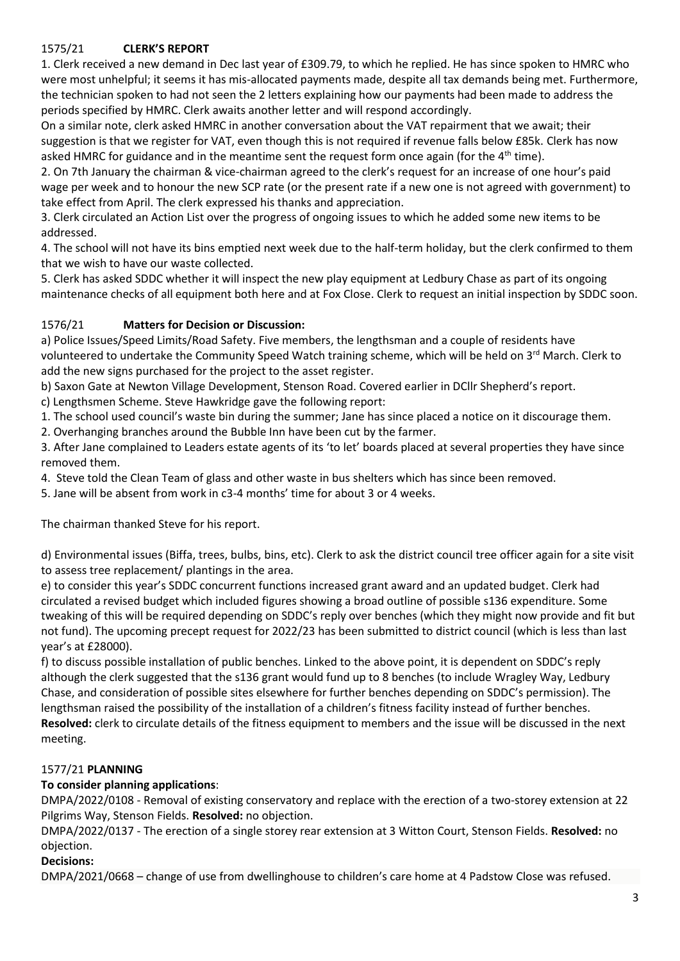# 1575/21 **CLERK'S REPORT**

1. Clerk received a new demand in Dec last year of £309.79, to which he replied. He has since spoken to HMRC who were most unhelpful; it seems it has mis-allocated payments made, despite all tax demands being met. Furthermore, the technician spoken to had not seen the 2 letters explaining how our payments had been made to address the periods specified by HMRC. Clerk awaits another letter and will respond accordingly.

On a similar note, clerk asked HMRC in another conversation about the VAT repairment that we await; their suggestion is that we register for VAT, even though this is not required if revenue falls below £85k. Clerk has now asked HMRC for guidance and in the meantime sent the request form once again (for the  $4<sup>th</sup>$  time).

2. On 7th January the chairman & vice-chairman agreed to the clerk's request for an increase of one hour's paid wage per week and to honour the new SCP rate (or the present rate if a new one is not agreed with government) to take effect from April. The clerk expressed his thanks and appreciation.

3. Clerk circulated an Action List over the progress of ongoing issues to which he added some new items to be addressed.

4. The school will not have its bins emptied next week due to the half-term holiday, but the clerk confirmed to them that we wish to have our waste collected.

5. Clerk has asked SDDC whether it will inspect the new play equipment at Ledbury Chase as part of its ongoing maintenance checks of all equipment both here and at Fox Close. Clerk to request an initial inspection by SDDC soon.

# 1576/21 **Matters for Decision or Discussion:**

a) Police Issues/Speed Limits/Road Safety. Five members, the lengthsman and a couple of residents have volunteered to undertake the Community Speed Watch training scheme, which will be held on 3<sup>rd</sup> March. Clerk to add the new signs purchased for the project to the asset register.

b) Saxon Gate at Newton Village Development, Stenson Road. Covered earlier in DCllr Shepherd's report.

c) Lengthsmen Scheme. Steve Hawkridge gave the following report:

1. The school used council's waste bin during the summer; Jane has since placed a notice on it discourage them.

2. Overhanging branches around the Bubble Inn have been cut by the farmer.

3. After Jane complained to Leaders estate agents of its 'to let' boards placed at several properties they have since removed them.

4. Steve told the Clean Team of glass and other waste in bus shelters which has since been removed.

5. Jane will be absent from work in c3-4 months' time for about 3 or 4 weeks.

The chairman thanked Steve for his report.

d) Environmental issues (Biffa, trees, bulbs, bins, etc). Clerk to ask the district council tree officer again for a site visit to assess tree replacement/ plantings in the area.

e) to consider this year's SDDC concurrent functions increased grant award and an updated budget. Clerk had circulated a revised budget which included figures showing a broad outline of possible s136 expenditure. Some tweaking of this will be required depending on SDDC's reply over benches (which they might now provide and fit but not fund). The upcoming precept request for 2022/23 has been submitted to district council (which is less than last year's at £28000).

f) to discuss possible installation of public benches. Linked to the above point, it is dependent on SDDC's reply although the clerk suggested that the s136 grant would fund up to 8 benches (to include Wragley Way, Ledbury Chase, and consideration of possible sites elsewhere for further benches depending on SDDC's permission). The lengthsman raised the possibility of the installation of a children's fitness facility instead of further benches. **Resolved:** clerk to circulate details of the fitness equipment to members and the issue will be discussed in the next meeting.

## 1577/21 **PLANNING**

# **To consider planning applications**:

DMPA/2022/0108 - Removal of existing conservatory and replace with the erection of a two-storey extension at 22 Pilgrims Way, Stenson Fields. **Resolved:** no objection.

DMPA/2022/0137 - The erection of a single storey rear extension at 3 Witton Court, Stenson Fields. **Resolved:** no objection.

## **Decisions:**

DMPA/2021/0668 – change of use from dwellinghouse to children's care home at 4 Padstow Close was refused.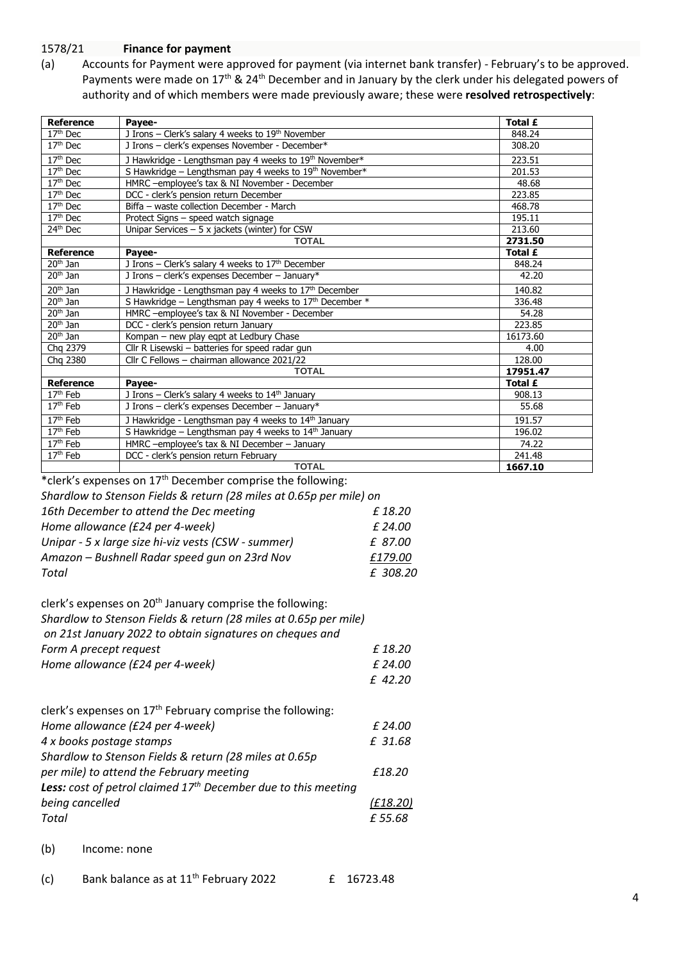### 1578/21 **Finance for payment**

(a) Accounts for Payment were approved for payment (via internet bank transfer) - February's to be approved. Payments were made on 17<sup>th</sup> & 24<sup>th</sup> December and in January by the clerk under his delegated powers of authority and of which members were made previously aware; these were **resolved retrospectively**:

| <b>Reference</b>     | Payee-                                                           | Total £  |
|----------------------|------------------------------------------------------------------|----------|
| 17 <sup>th</sup> Dec | J Irons - Clerk's salary 4 weeks to 19th November                | 848.24   |
| $17th$ Dec           | J Irons - clerk's expenses November - December*                  | 308.20   |
| 17 <sup>th</sup> Dec | J Hawkridge - Lengthsman pay 4 weeks to 19th November*           | 223.51   |
| $17th$ Dec           | S Hawkridge - Lengthsman pay 4 weeks to 19th November*           | 201.53   |
| $17th$ Dec           | HMRC-employee's tax & NI November - December                     | 48.68    |
| 17 <sup>th</sup> Dec | DCC - clerk's pension return December                            | 223.85   |
| 17 <sup>th</sup> Dec | Biffa - waste collection December - March                        | 468.78   |
| $17th$ Dec           | Protect Signs - speed watch signage                              | 195.11   |
| 24 <sup>th</sup> Dec | Unipar Services $-5x$ jackets (winter) for CSW                   | 213.60   |
|                      | <b>TOTAL</b>                                                     | 2731.50  |
| Reference            | Payee-                                                           | Total £  |
| $20th$ Jan           | J Irons - Clerk's salary 4 weeks to 17th December                | 848.24   |
| $20th$ Jan           | J Irons - clerk's expenses December - January*                   | 42.20    |
| $20th$ Jan           | J Hawkridge - Lengthsman pay 4 weeks to 17th December            | 140.82   |
| $20th$ Jan           | S Hawkridge - Lengthsman pay 4 weeks to $17th$ December $*$      | 336.48   |
| $20th$ Jan           | HMRC-employee's tax & NI November - December                     | 54.28    |
| $20th$ Jan           | DCC - clerk's pension return January                             | 223.85   |
| $20th$ Jan           | Kompan - new play eqpt at Ledbury Chase                          | 16173.60 |
| Chg 2379             | Cllr R Lisewski – batteries for speed radar gun                  | 4.00     |
| Chg 2380             | Cllr C Fellows - chairman allowance 2021/22                      | 128.00   |
|                      | <b>TOTAL</b>                                                     | 17951.47 |
| <b>Reference</b>     | Payee-                                                           | Total £  |
| 17 <sup>th</sup> Feb | J Irons - Clerk's salary 4 weeks to 14 <sup>th</sup> January     | 908.13   |
| $17th$ Feb           | J Irons - clerk's expenses December - January*                   | 55.68    |
| $17th$ Feb           | J Hawkridge - Lengthsman pay 4 weeks to 14 <sup>th</sup> January | 191.57   |
| $17th$ Feb           | S Hawkridge - Lengthsman pay 4 weeks to 14th January             | 196.02   |
| 17 <sup>th</sup> Feb | HMRC -employee's tax & NI December - January                     | 74.22    |
| 17 <sup>th</sup> Feb | DCC - clerk's pension return February                            | 241.48   |
|                      | <b>TOTAL</b>                                                     | 1667.10  |

\*clerk's expenses on 17<sup>th</sup> December comprise the following:

| Shardlow to Stenson Fields & return (28 miles at 0.65p per mile) on |          |
|---------------------------------------------------------------------|----------|
| 16th December to attend the Dec meeting                             | £18.20   |
| Home allowance (£24 per 4-week)                                     | £ 24.00  |
| Unipar - 5 x large size hi-viz vests (CSW - summer)                 | £ 87.00  |
| Amazon - Bushnell Radar speed gun on 23rd Nov                       | £179.00  |
| Total                                                               | £ 308.20 |
|                                                                     |          |

| clerk's expenses on 20 <sup>th</sup> January comprise the following: |           |
|----------------------------------------------------------------------|-----------|
| Shardlow to Stenson Fields & return (28 miles at 0.65p per mile)     |           |
| on 21st January 2022 to obtain signatures on cheques and             |           |
| Form A precept request                                               | £18.20    |
| Home allowance (£24 per 4-week)                                      | £ 24.00   |
|                                                                      | $f$ 42.20 |
|                                                                      |           |

| clerk's expenses on 17 <sup>th</sup> February comprise the following:   |          |
|-------------------------------------------------------------------------|----------|
| Home allowance (£24 per 4-week)                                         | £ 24.00  |
| 4 x books postage stamps                                                | £ 31.68  |
| Shardlow to Stenson Fields & return (28 miles at 0.65p)                 |          |
| per mile) to attend the February meeting                                | £18.20   |
| <b>Less:</b> cost of petrol claimed $17th$ December due to this meeting |          |
| being cancelled                                                         | (E18.20) |
| Total                                                                   | £55.68   |
|                                                                         |          |

(b) Income: none

| (c) | Bank balance as at 11 <sup>th</sup> February 2022 | £ 16723.48 |
|-----|---------------------------------------------------|------------|
|     |                                                   |            |